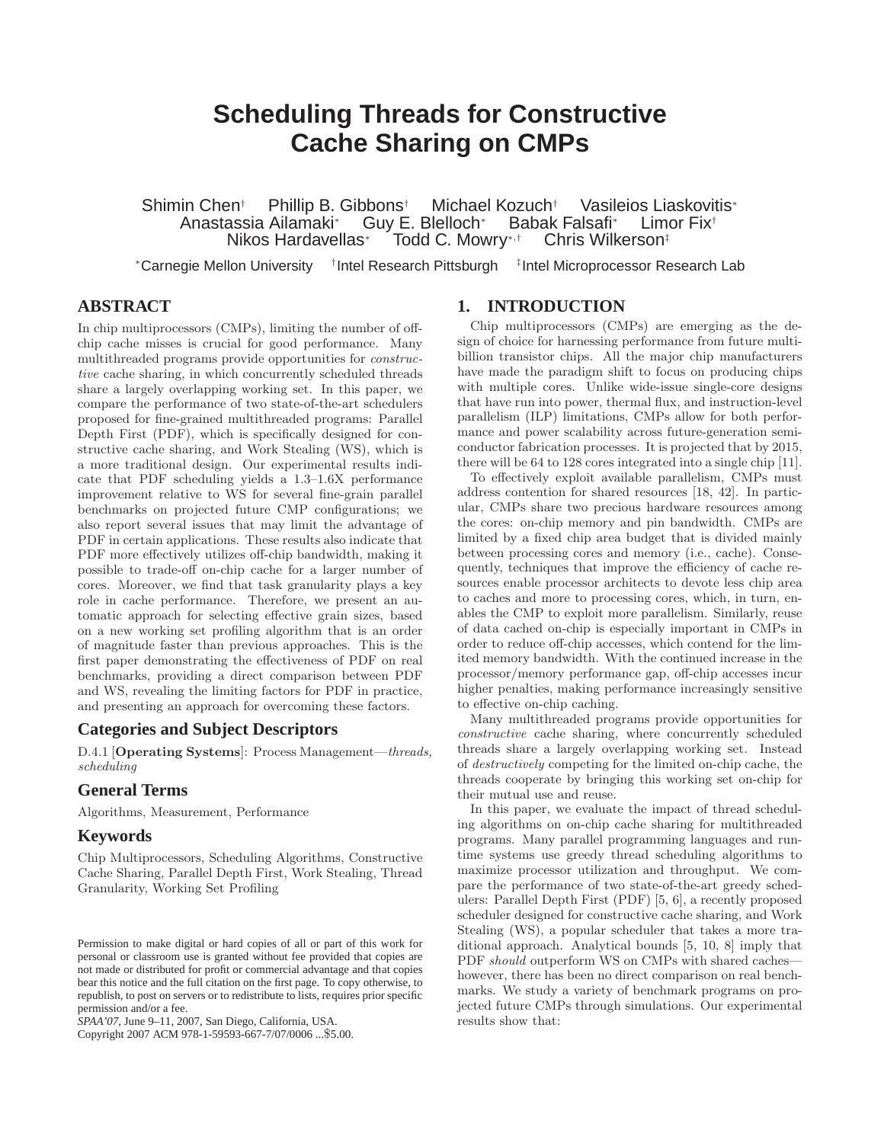# **Scheduling Threads for Constructive Cache Sharing on CMPs**

Shimin Chen† Phillip B. Gibbons† Michael Kozuch† Vasileios Liaskovitis<sup>∗</sup><br>Anastassia Ailamaki\* Guy E. Blelloch\* Babak Falsafi\* Limor Fix<sup>†</sup> Anastassia Ailamaki<sup>∗</sup> Nikos Hardavellas<sup>∗</sup> Todd C. Mowry∗,† Chris Wilkerson‡

<sup>∗</sup>Carnegie Mellon University † Intel Research Pittsburgh ‡ Intel Microprocessor Research Lab

# **ABSTRACT**

In chip multiprocessors (CMPs), limiting the number of offchip cache misses is crucial for good performance. Many multithreaded programs provide opportunities for constructive cache sharing, in which concurrently scheduled threads share a largely overlapping working set. In this paper, we compare the performance of two state-of-the-art schedulers proposed for fine-grained multithreaded programs: Parallel Depth First (PDF), which is specifically designed for constructive cache sharing, and Work Stealing (WS), which is a more traditional design. Our experimental results indicate that PDF scheduling yields a 1.3–1.6X performance improvement relative to WS for several fine-grain parallel benchmarks on projected future CMP configurations; we also report several issues that may limit the advantage of PDF in certain applications. These results also indicate that PDF more effectively utilizes off-chip bandwidth, making it possible to trade-off on-chip cache for a larger number of cores. Moreover, we find that task granularity plays a key role in cache performance. Therefore, we present an automatic approach for selecting effective grain sizes, based on a new working set profiling algorithm that is an order of magnitude faster than previous approaches. This is the first paper demonstrating the effectiveness of PDF on real benchmarks, providing a direct comparison between PDF and WS, revealing the limiting factors for PDF in practice, and presenting an approach for overcoming these factors.

### **Categories and Subject Descriptors**

D.4.1 [Operating Systems]: Process Management—threads, scheduling

## **General Terms**

Algorithms, Measurement, Performance

#### **Keywords**

Chip Multiprocessors, Scheduling Algorithms, Constructive Cache Sharing, Parallel Depth First, Work Stealing, Thread Granularity, Working Set Profiling

Copyright 2007 ACM 978-1-59593-667-7/07/0006 ...\$5.00.

#### **1. INTRODUCTION**

Chip multiprocessors (CMPs) are emerging as the design of choice for harnessing performance from future multibillion transistor chips. All the major chip manufacturers have made the paradigm shift to focus on producing chips with multiple cores. Unlike wide-issue single-core designs that have run into power, thermal flux, and instruction-level parallelism (ILP) limitations, CMPs allow for both performance and power scalability across future-generation semiconductor fabrication processes. It is projected that by 2015, there will be 64 to 128 cores integrated into a single chip [11].

To effectively exploit available parallelism, CMPs must address contention for shared resources [18, 42]. In particular, CMPs share two precious hardware resources among the cores: on-chip memory and pin bandwidth. CMPs are limited by a fixed chip area budget that is divided mainly between processing cores and memory (i.e., cache). Consequently, techniques that improve the efficiency of cache resources enable processor architects to devote less chip area to caches and more to processing cores, which, in turn, enables the CMP to exploit more parallelism. Similarly, reuse of data cached on-chip is especially important in CMPs in order to reduce off-chip accesses, which contend for the limited memory bandwidth. With the continued increase in the processor/memory performance gap, off-chip accesses incur higher penalties, making performance increasingly sensitive to effective on-chip caching.

Many multithreaded programs provide opportunities for constructive cache sharing, where concurrently scheduled threads share a largely overlapping working set. Instead of destructively competing for the limited on-chip cache, the threads cooperate by bringing this working set on-chip for their mutual use and reuse.

In this paper, we evaluate the impact of thread scheduling algorithms on on-chip cache sharing for multithreaded programs. Many parallel programming languages and runtime systems use greedy thread scheduling algorithms to maximize processor utilization and throughput. We compare the performance of two state-of-the-art greedy schedulers: Parallel Depth First (PDF) [5, 6], a recently proposed scheduler designed for constructive cache sharing, and Work Stealing (WS), a popular scheduler that takes a more traditional approach. Analytical bounds [5, 10, 8] imply that PDF should outperform WS on CMPs with shared cacheshowever, there has been no direct comparison on real benchmarks. We study a variety of benchmark programs on projected future CMPs through simulations. Our experimental results show that:

Permission to make digital or hard copies of all or part of this work for personal or classroom use is granted without fee provided that copies are not made or distributed for profit or commercial advantage and that copies bear this notice and the full citation on the first page. To copy otherwise, to republish, to post on servers or to redistribute to lists, requires prior specific permission and/or a fee.

*SPAA'07,* June 9–11, 2007, San Diego, California, USA.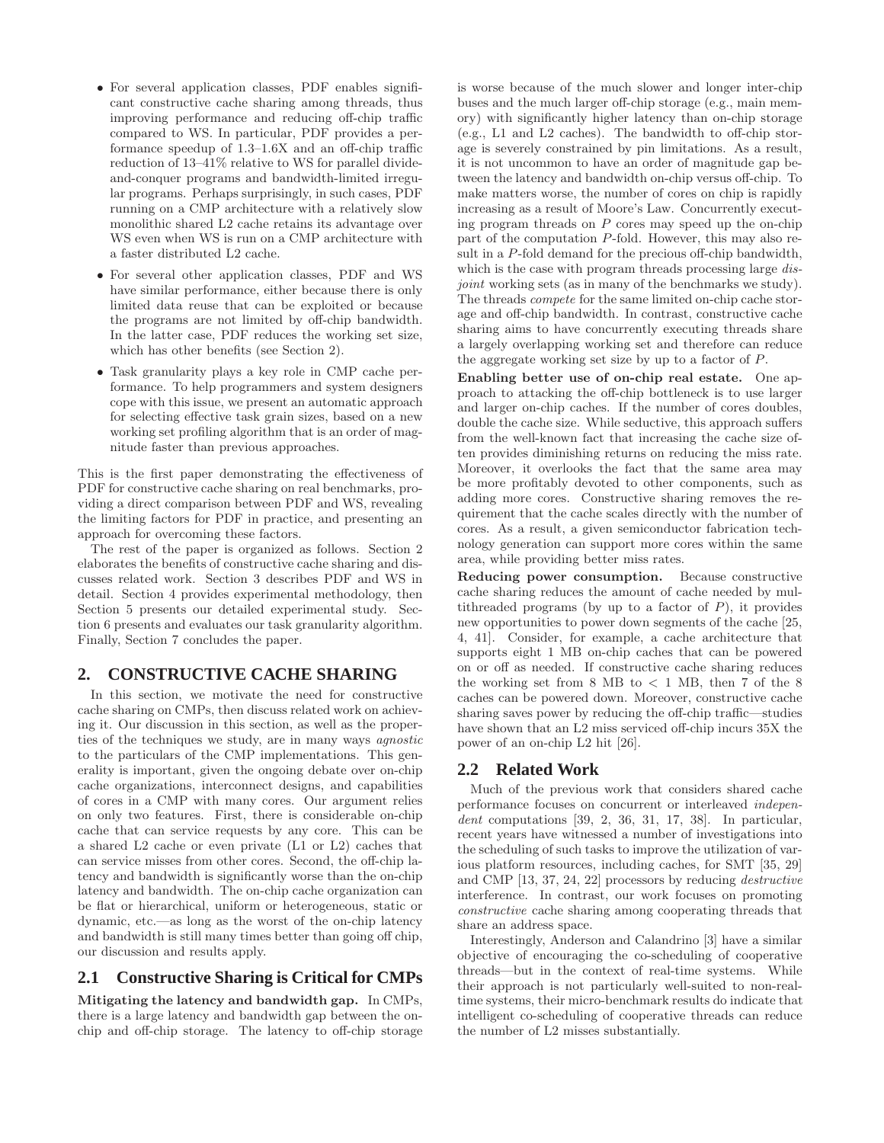- For several application classes, PDF enables significant constructive cache sharing among threads, thus improving performance and reducing off-chip traffic compared to WS. In particular, PDF provides a performance speedup of 1.3–1.6X and an off-chip traffic reduction of 13–41% relative to WS for parallel divideand-conquer programs and bandwidth-limited irregular programs. Perhaps surprisingly, in such cases, PDF running on a CMP architecture with a relatively slow monolithic shared L2 cache retains its advantage over WS even when WS is run on a CMP architecture with a faster distributed L2 cache.
- For several other application classes, PDF and WS have similar performance, either because there is only limited data reuse that can be exploited or because the programs are not limited by off-chip bandwidth. In the latter case, PDF reduces the working set size, which has other benefits (see Section 2).
- Task granularity plays a key role in CMP cache performance. To help programmers and system designers cope with this issue, we present an automatic approach for selecting effective task grain sizes, based on a new working set profiling algorithm that is an order of magnitude faster than previous approaches.

This is the first paper demonstrating the effectiveness of PDF for constructive cache sharing on real benchmarks, providing a direct comparison between PDF and WS, revealing the limiting factors for PDF in practice, and presenting an approach for overcoming these factors.

The rest of the paper is organized as follows. Section 2 elaborates the benefits of constructive cache sharing and discusses related work. Section 3 describes PDF and WS in detail. Section 4 provides experimental methodology, then Section 5 presents our detailed experimental study. Section 6 presents and evaluates our task granularity algorithm. Finally, Section 7 concludes the paper.

## **2. CONSTRUCTIVE CACHE SHARING**

In this section, we motivate the need for constructive cache sharing on CMPs, then discuss related work on achieving it. Our discussion in this section, as well as the properties of the techniques we study, are in many ways agnostic to the particulars of the CMP implementations. This generality is important, given the ongoing debate over on-chip cache organizations, interconnect designs, and capabilities of cores in a CMP with many cores. Our argument relies on only two features. First, there is considerable on-chip cache that can service requests by any core. This can be a shared L2 cache or even private (L1 or L2) caches that can service misses from other cores. Second, the off-chip latency and bandwidth is significantly worse than the on-chip latency and bandwidth. The on-chip cache organization can be flat or hierarchical, uniform or heterogeneous, static or dynamic, etc.—as long as the worst of the on-chip latency and bandwidth is still many times better than going off chip, our discussion and results apply.

## **2.1 Constructive Sharing is Critical for CMPs**

Mitigating the latency and bandwidth gap. In CMPs, there is a large latency and bandwidth gap between the onchip and off-chip storage. The latency to off-chip storage is worse because of the much slower and longer inter-chip buses and the much larger off-chip storage (e.g., main memory) with significantly higher latency than on-chip storage (e.g., L1 and L2 caches). The bandwidth to off-chip storage is severely constrained by pin limitations. As a result, it is not uncommon to have an order of magnitude gap between the latency and bandwidth on-chip versus off-chip. To make matters worse, the number of cores on chip is rapidly increasing as a result of Moore's Law. Concurrently executing program threads on  $P$  cores may speed up the on-chip part of the computation P-fold. However, this may also result in a P-fold demand for the precious off-chip bandwidth, which is the case with program threads processing large disjoint working sets (as in many of the benchmarks we study). The threads compete for the same limited on-chip cache storage and off-chip bandwidth. In contrast, constructive cache sharing aims to have concurrently executing threads share a largely overlapping working set and therefore can reduce the aggregate working set size by up to a factor of P.

Enabling better use of on-chip real estate. One approach to attacking the off-chip bottleneck is to use larger and larger on-chip caches. If the number of cores doubles, double the cache size. While seductive, this approach suffers from the well-known fact that increasing the cache size often provides diminishing returns on reducing the miss rate. Moreover, it overlooks the fact that the same area may be more profitably devoted to other components, such as adding more cores. Constructive sharing removes the requirement that the cache scales directly with the number of cores. As a result, a given semiconductor fabrication technology generation can support more cores within the same area, while providing better miss rates.

Reducing power consumption. Because constructive cache sharing reduces the amount of cache needed by multithreaded programs (by up to a factor of  $P$ ), it provides new opportunities to power down segments of the cache [25, 4, 41]. Consider, for example, a cache architecture that supports eight 1 MB on-chip caches that can be powered on or off as needed. If constructive cache sharing reduces the working set from  $8$  MB to  $< 1$  MB, then  $7$  of the  $8$ caches can be powered down. Moreover, constructive cache sharing saves power by reducing the off-chip traffic—studies have shown that an L2 miss serviced off-chip incurs 35X the power of an on-chip L2 hit [26].

## **2.2 Related Work**

Much of the previous work that considers shared cache performance focuses on concurrent or interleaved independent computations [39, 2, 36, 31, 17, 38]. In particular, recent years have witnessed a number of investigations into the scheduling of such tasks to improve the utilization of various platform resources, including caches, for SMT [35, 29] and CMP [13, 37, 24, 22] processors by reducing destructive interference. In contrast, our work focuses on promoting constructive cache sharing among cooperating threads that share an address space.

Interestingly, Anderson and Calandrino [3] have a similar objective of encouraging the co-scheduling of cooperative threads—but in the context of real-time systems. While their approach is not particularly well-suited to non-realtime systems, their micro-benchmark results do indicate that intelligent co-scheduling of cooperative threads can reduce the number of L2 misses substantially.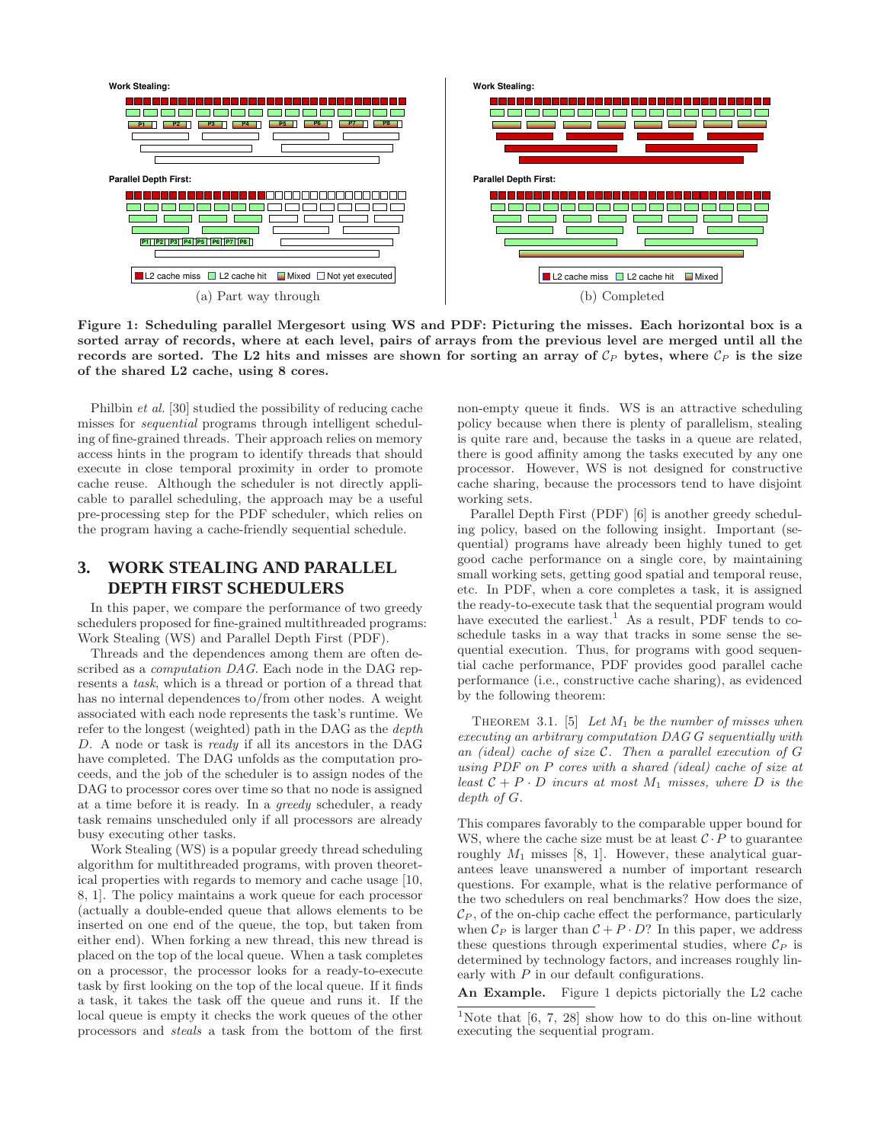

Figure 1: Scheduling parallel Mergesort using WS and PDF: Picturing the misses. Each horizontal box is a sorted array of records, where at each level, pairs of arrays from the previous level are merged until all the records are sorted. The L2 hits and misses are shown for sorting an array of  $C_P$  bytes, where  $C_P$  is the size of the shared L2 cache, using 8 cores.

Philbin et al. [30] studied the possibility of reducing cache misses for sequential programs through intelligent scheduling of fine-grained threads. Their approach relies on memory access hints in the program to identify threads that should execute in close temporal proximity in order to promote cache reuse. Although the scheduler is not directly applicable to parallel scheduling, the approach may be a useful pre-processing step for the PDF scheduler, which relies on the program having a cache-friendly sequential schedule.

# **3. WORK STEALING AND PARALLEL DEPTH FIRST SCHEDULERS**

In this paper, we compare the performance of two greedy schedulers proposed for fine-grained multithreaded programs: Work Stealing (WS) and Parallel Depth First (PDF).

Threads and the dependences among them are often described as a *computation DAG*. Each node in the DAG represents a task, which is a thread or portion of a thread that has no internal dependences to/from other nodes. A weight associated with each node represents the task's runtime. We refer to the longest (weighted) path in the DAG as the depth D. A node or task is ready if all its ancestors in the DAG have completed. The DAG unfolds as the computation proceeds, and the job of the scheduler is to assign nodes of the DAG to processor cores over time so that no node is assigned at a time before it is ready. In a greedy scheduler, a ready task remains unscheduled only if all processors are already busy executing other tasks.

Work Stealing (WS) is a popular greedy thread scheduling algorithm for multithreaded programs, with proven theoretical properties with regards to memory and cache usage [10, 8, 1]. The policy maintains a work queue for each processor (actually a double-ended queue that allows elements to be inserted on one end of the queue, the top, but taken from either end). When forking a new thread, this new thread is placed on the top of the local queue. When a task completes on a processor, the processor looks for a ready-to-execute task by first looking on the top of the local queue. If it finds a task, it takes the task off the queue and runs it. If the local queue is empty it checks the work queues of the other processors and steals a task from the bottom of the first

non-empty queue it finds. WS is an attractive scheduling policy because when there is plenty of parallelism, stealing is quite rare and, because the tasks in a queue are related, there is good affinity among the tasks executed by any one processor. However, WS is not designed for constructive cache sharing, because the processors tend to have disjoint working sets.

Parallel Depth First (PDF) [6] is another greedy scheduling policy, based on the following insight. Important (sequential) programs have already been highly tuned to get good cache performance on a single core, by maintaining small working sets, getting good spatial and temporal reuse, etc. In PDF, when a core completes a task, it is assigned the ready-to-execute task that the sequential program would have executed the earliest.<sup>1</sup> As a result, PDF tends to coschedule tasks in a way that tracks in some sense the sequential execution. Thus, for programs with good sequential cache performance, PDF provides good parallel cache performance (i.e., constructive cache sharing), as evidenced by the following theorem:

THEOREM 3.1. [5] Let  $M_1$  be the number of misses when executing an arbitrary computation DAG G sequentially with an (ideal) cache of size C. Then a parallel execution of G using PDF on P cores with a shared (ideal) cache of size at least  $C + P \cdot D$  incurs at most  $M_1$  misses, where D is the depth of G.

This compares favorably to the comparable upper bound for WS, where the cache size must be at least  $C \cdot P$  to guarantee roughly  $M_1$  misses [8, 1]. However, these analytical guarantees leave unanswered a number of important research questions. For example, what is the relative performance of the two schedulers on real benchmarks? How does the size,  $\mathcal{C}_P$ , of the on-chip cache effect the performance, particularly when  $\mathcal{C}_P$  is larger than  $\mathcal{C} + P \cdot D$ ? In this paper, we address these questions through experimental studies, where  $\mathcal{C}_P$  is determined by technology factors, and increases roughly linearly with  $P$  in our default configurations.

An Example. Figure 1 depicts pictorially the L2 cache

<sup>&</sup>lt;sup>1</sup>Note that [6, 7, 28] show how to do this on-line without executing the sequential program.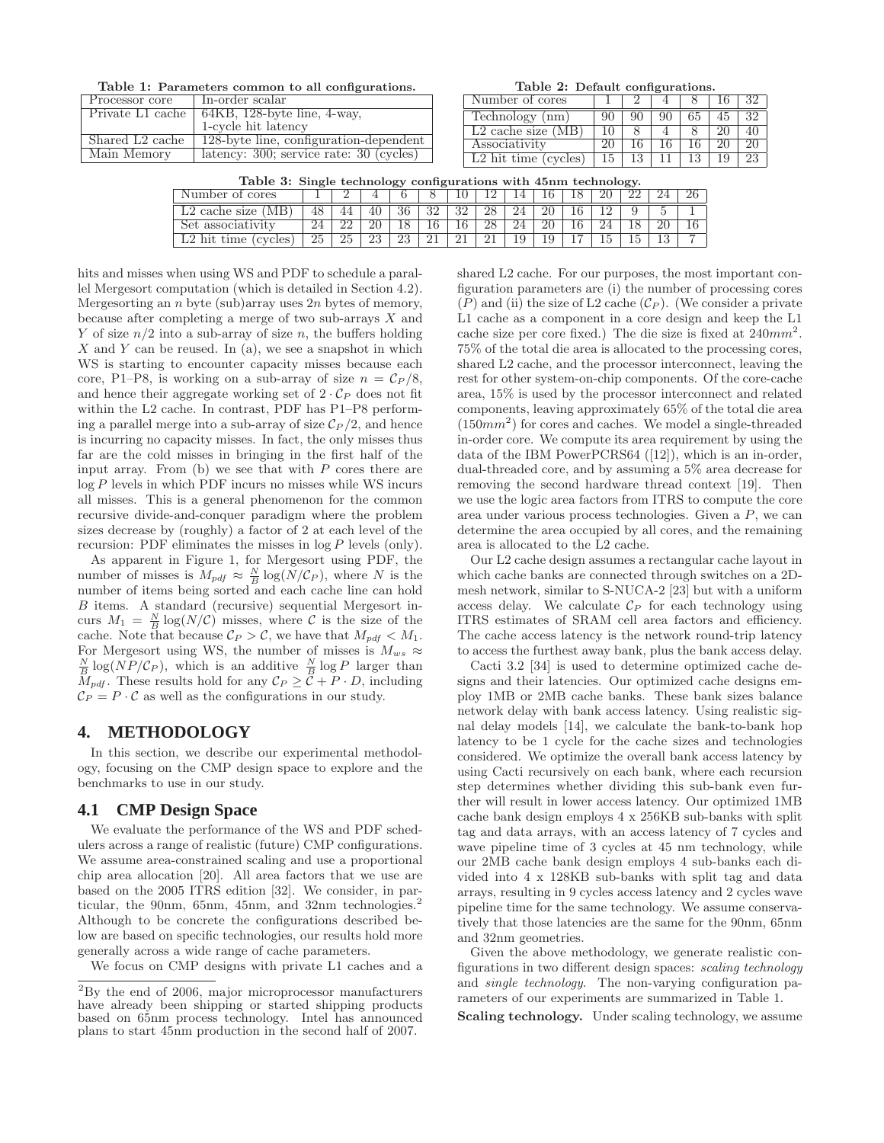Table 1: Parameters common to all configurations.

| Processor core  | In-order scalar                                |
|-----------------|------------------------------------------------|
|                 | Private L1 cache   64KB, 128-byte line, 4-way, |
|                 | 1-cycle hit latency                            |
| Shared L2 cache | 128-byte line, configuration-dependent         |
| Main Memory     | latency: 300; service rate: 30 (cycles)        |

|  | Table 2: Default configurations. |
|--|----------------------------------|
|--|----------------------------------|

| Number of cores        |    |     |     |     |    | 32  |
|------------------------|----|-----|-----|-----|----|-----|
| Technology (nm)        |    |     | 90. | 65. | 45 | 32  |
| $L2$ cache size $(MB)$ | 10 |     |     |     |    |     |
| Associativity          |    |     |     |     |    | 20. |
| $L2$ hit time (cycles) | 15 | 13. |     |     |    | 23  |

| Table 3: Single technology configurations with 45nm technology. |    |    |    |  |  |  |  |    |
|-----------------------------------------------------------------|----|----|----|--|--|--|--|----|
| Number of cores                                                 |    |    |    |  |  |  |  | 26 |
| L2 cache size (MB'                                              |    |    |    |  |  |  |  |    |
| Set associativity                                               |    |    |    |  |  |  |  |    |
| $L2$ hit time (cycles)                                          | 25 | 25 | າາ |  |  |  |  |    |

hits and misses when using WS and PDF to schedule a parallel Mergesort computation (which is detailed in Section 4.2). Mergesorting an *n* byte (sub)array uses  $2n$  bytes of memory, because after completing a merge of two sub-arrays  $X$  and Y of size  $n/2$  into a sub-array of size n, the buffers holding  $X$  and  $Y$  can be reused. In (a), we see a snapshot in which WS is starting to encounter capacity misses because each core, P1–P8, is working on a sub-array of size  $n = \mathcal{C}_P/8$ , and hence their aggregate working set of  $2 \cdot C_P$  does not fit within the L2 cache. In contrast, PDF has P1–P8 performing a parallel merge into a sub-array of size  $\mathcal{C}_P/2$ , and hence is incurring no capacity misses. In fact, the only misses thus far are the cold misses in bringing in the first half of the input array. From  $(b)$  we see that with  $P$  cores there are  $\log P$  levels in which PDF incurs no misses while WS incurs all misses. This is a general phenomenon for the common recursive divide-and-conquer paradigm where the problem sizes decrease by (roughly) a factor of 2 at each level of the recursion: PDF eliminates the misses in  $log P$  levels (only).

As apparent in Figure 1, for Mergesort using PDF, the number of misses is  $M_{pdf} \approx \frac{N}{B} \log(N/\mathcal{C}_P)$ , where N is the number of items being sorted and each cache line can hold B items. A standard (recursive) sequential Mergesort incurs  $M_1 = \frac{N}{B} \log(N/C)$  misses, where C is the size of the cache. Note that because  $\mathcal{C}_P > \mathcal{C}$ , we have that  $M_{pdf} < M_1$ . For Mergesort using WS, the number of misses is  $M_{ws} \approx$  $\frac{N}{B} \log(NP/\mathcal{C}_P)$ , which is an additive  $\frac{N}{B} \log P$  larger than  $\tilde{M}_{pdf}$ . These results hold for any  $C_P \geq \tilde{C} + P \cdot D$ , including  $\mathcal{C}_P = P \cdot \mathcal{C}$  as well as the configurations in our study.

## **4. METHODOLOGY**

In this section, we describe our experimental methodology, focusing on the CMP design space to explore and the benchmarks to use in our study.

#### **4.1 CMP Design Space**

We evaluate the performance of the WS and PDF schedulers across a range of realistic (future) CMP configurations. We assume area-constrained scaling and use a proportional chip area allocation [20]. All area factors that we use are based on the 2005 ITRS edition [32]. We consider, in particular, the 90nm, 65nm, 45nm, and 32nm technologies. Although to be concrete the configurations described below are based on specific technologies, our results hold more generally across a wide range of cache parameters.

We focus on CMP designs with private L1 caches and a

shared L2 cache. For our purposes, the most important configuration parameters are (i) the number of processing cores  $(P)$  and (ii) the size of L2 cache  $(\mathcal{C}_P)$ . (We consider a private L1 cache as a component in a core design and keep the L1 cache size per core fixed.) The die size is fixed at  $240mm^2$ . 75% of the total die area is allocated to the processing cores, shared L2 cache, and the processor interconnect, leaving the rest for other system-on-chip components. Of the core-cache area, 15% is used by the processor interconnect and related components, leaving approximately 65% of the total die area  $(150mm^2)$  for cores and caches. We model a single-threaded in-order core. We compute its area requirement by using the data of the IBM PowerPCRS64 ([12]), which is an in-order, dual-threaded core, and by assuming a 5% area decrease for removing the second hardware thread context [19]. Then we use the logic area factors from ITRS to compute the core area under various process technologies. Given a P, we can determine the area occupied by all cores, and the remaining area is allocated to the L2 cache.

Our L2 cache design assumes a rectangular cache layout in which cache banks are connected through switches on a 2Dmesh network, similar to S-NUCA-2 [23] but with a uniform access delay. We calculate  $\mathcal{C}_P$  for each technology using ITRS estimates of SRAM cell area factors and efficiency. The cache access latency is the network round-trip latency to access the furthest away bank, plus the bank access delay.

Cacti 3.2 [34] is used to determine optimized cache designs and their latencies. Our optimized cache designs employ 1MB or 2MB cache banks. These bank sizes balance network delay with bank access latency. Using realistic signal delay models [14], we calculate the bank-to-bank hop latency to be 1 cycle for the cache sizes and technologies considered. We optimize the overall bank access latency by using Cacti recursively on each bank, where each recursion step determines whether dividing this sub-bank even further will result in lower access latency. Our optimized 1MB cache bank design employs 4 x 256KB sub-banks with split tag and data arrays, with an access latency of 7 cycles and wave pipeline time of 3 cycles at 45 nm technology, while our 2MB cache bank design employs 4 sub-banks each divided into 4 x 128KB sub-banks with split tag and data arrays, resulting in 9 cycles access latency and 2 cycles wave pipeline time for the same technology. We assume conservatively that those latencies are the same for the 90nm, 65nm and 32nm geometries.

Given the above methodology, we generate realistic configurations in two different design spaces: scaling technology and single technology. The non-varying configuration parameters of our experiments are summarized in Table 1.

Scaling technology. Under scaling technology, we assume

 $^2\mathrm{By}$  the end of 2006, major microprocessor manufacturers have already been shipping or started shipping products based on 65nm process technology. Intel has announced plans to start 45nm production in the second half of 2007.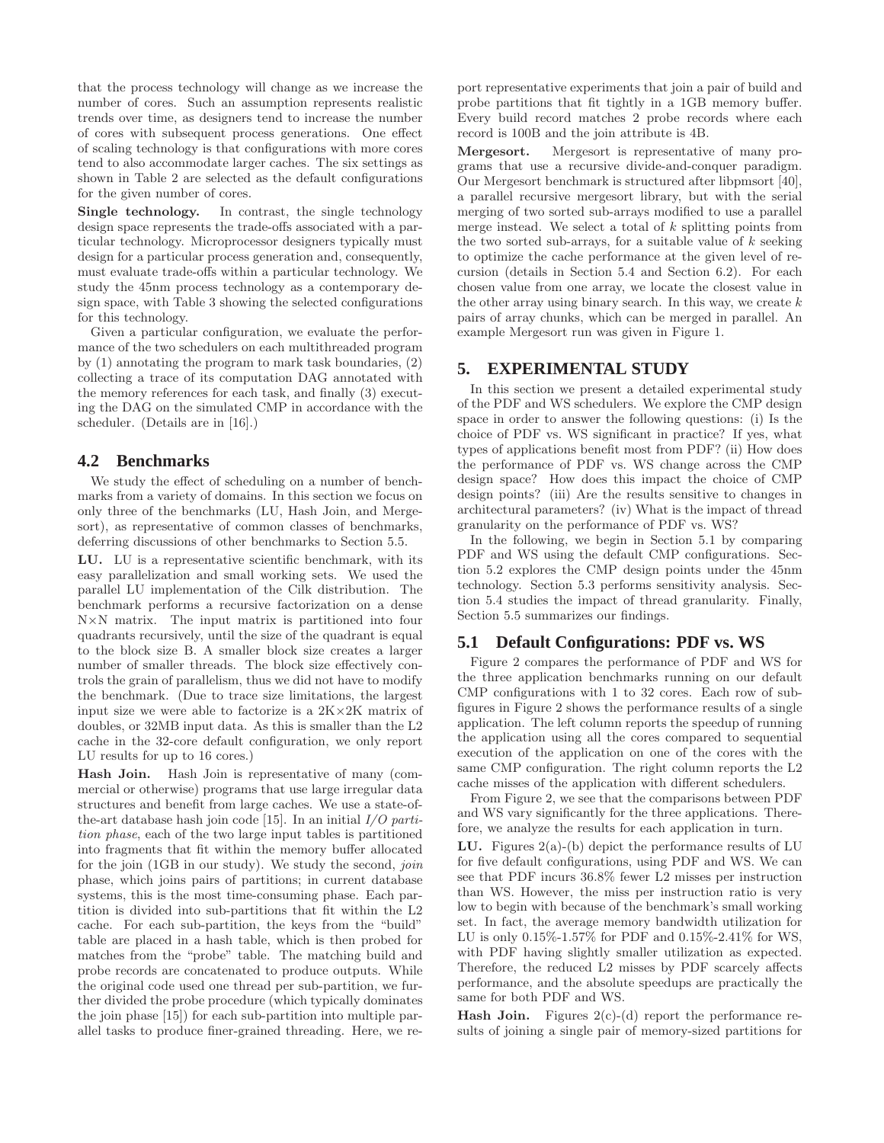that the process technology will change as we increase the number of cores. Such an assumption represents realistic trends over time, as designers tend to increase the number of cores with subsequent process generations. One effect of scaling technology is that configurations with more cores tend to also accommodate larger caches. The six settings as shown in Table 2 are selected as the default configurations for the given number of cores.

Single technology. In contrast, the single technology design space represents the trade-offs associated with a particular technology. Microprocessor designers typically must design for a particular process generation and, consequently, must evaluate trade-offs within a particular technology. We study the 45nm process technology as a contemporary design space, with Table 3 showing the selected configurations for this technology.

Given a particular configuration, we evaluate the performance of the two schedulers on each multithreaded program by (1) annotating the program to mark task boundaries, (2) collecting a trace of its computation DAG annotated with the memory references for each task, and finally (3) executing the DAG on the simulated CMP in accordance with the scheduler. (Details are in [16].)

## **4.2 Benchmarks**

We study the effect of scheduling on a number of benchmarks from a variety of domains. In this section we focus on only three of the benchmarks (LU, Hash Join, and Mergesort), as representative of common classes of benchmarks, deferring discussions of other benchmarks to Section 5.5.

LU. LU is a representative scientific benchmark, with its easy parallelization and small working sets. We used the parallel LU implementation of the Cilk distribution. The benchmark performs a recursive factorization on a dense N×N matrix. The input matrix is partitioned into four quadrants recursively, until the size of the quadrant is equal to the block size B. A smaller block size creates a larger number of smaller threads. The block size effectively controls the grain of parallelism, thus we did not have to modify the benchmark. (Due to trace size limitations, the largest input size we were able to factorize is a  $2K \times 2K$  matrix of doubles, or 32MB input data. As this is smaller than the L2 cache in the 32-core default configuration, we only report LU results for up to 16 cores.)

Hash Join. Hash Join is representative of many (commercial or otherwise) programs that use large irregular data structures and benefit from large caches. We use a state-ofthe-art database hash join code [15]. In an initial  $I/O$  partition phase, each of the two large input tables is partitioned into fragments that fit within the memory buffer allocated for the join (1GB in our study). We study the second, join phase, which joins pairs of partitions; in current database systems, this is the most time-consuming phase. Each partition is divided into sub-partitions that fit within the L2 cache. For each sub-partition, the keys from the "build" table are placed in a hash table, which is then probed for matches from the "probe" table. The matching build and probe records are concatenated to produce outputs. While the original code used one thread per sub-partition, we further divided the probe procedure (which typically dominates the join phase [15]) for each sub-partition into multiple parallel tasks to produce finer-grained threading. Here, we report representative experiments that join a pair of build and probe partitions that fit tightly in a 1GB memory buffer. Every build record matches 2 probe records where each record is 100B and the join attribute is 4B.

Mergesort. Mergesort is representative of many programs that use a recursive divide-and-conquer paradigm. Our Mergesort benchmark is structured after libpmsort [40], a parallel recursive mergesort library, but with the serial merging of two sorted sub-arrays modified to use a parallel merge instead. We select a total of  $k$  splitting points from the two sorted sub-arrays, for a suitable value of  $k$  seeking to optimize the cache performance at the given level of recursion (details in Section 5.4 and Section 6.2). For each chosen value from one array, we locate the closest value in the other array using binary search. In this way, we create  $k$ pairs of array chunks, which can be merged in parallel. An example Mergesort run was given in Figure 1.

## **5. EXPERIMENTAL STUDY**

In this section we present a detailed experimental study of the PDF and WS schedulers. We explore the CMP design space in order to answer the following questions: (i) Is the choice of PDF vs. WS significant in practice? If yes, what types of applications benefit most from PDF? (ii) How does the performance of PDF vs. WS change across the CMP design space? How does this impact the choice of CMP design points? (iii) Are the results sensitive to changes in architectural parameters? (iv) What is the impact of thread granularity on the performance of PDF vs. WS?

In the following, we begin in Section 5.1 by comparing PDF and WS using the default CMP configurations. Section 5.2 explores the CMP design points under the 45nm technology. Section 5.3 performs sensitivity analysis. Section 5.4 studies the impact of thread granularity. Finally, Section 5.5 summarizes our findings.

## **5.1 Default Configurations: PDF vs. WS**

Figure 2 compares the performance of PDF and WS for the three application benchmarks running on our default CMP configurations with 1 to 32 cores. Each row of subfigures in Figure 2 shows the performance results of a single application. The left column reports the speedup of running the application using all the cores compared to sequential execution of the application on one of the cores with the same CMP configuration. The right column reports the L2 cache misses of the application with different schedulers.

From Figure 2, we see that the comparisons between PDF and WS vary significantly for the three applications. Therefore, we analyze the results for each application in turn.

**LU.** Figures  $2(a)$ -(b) depict the performance results of LU for five default configurations, using PDF and WS. We can see that PDF incurs 36.8% fewer L2 misses per instruction than WS. However, the miss per instruction ratio is very low to begin with because of the benchmark's small working set. In fact, the average memory bandwidth utilization for LU is only 0.15%-1.57% for PDF and 0.15%-2.41% for WS, with PDF having slightly smaller utilization as expected. Therefore, the reduced L2 misses by PDF scarcely affects performance, and the absolute speedups are practically the same for both PDF and WS.

**Hash Join.** Figures  $2(c)$ -(d) report the performance results of joining a single pair of memory-sized partitions for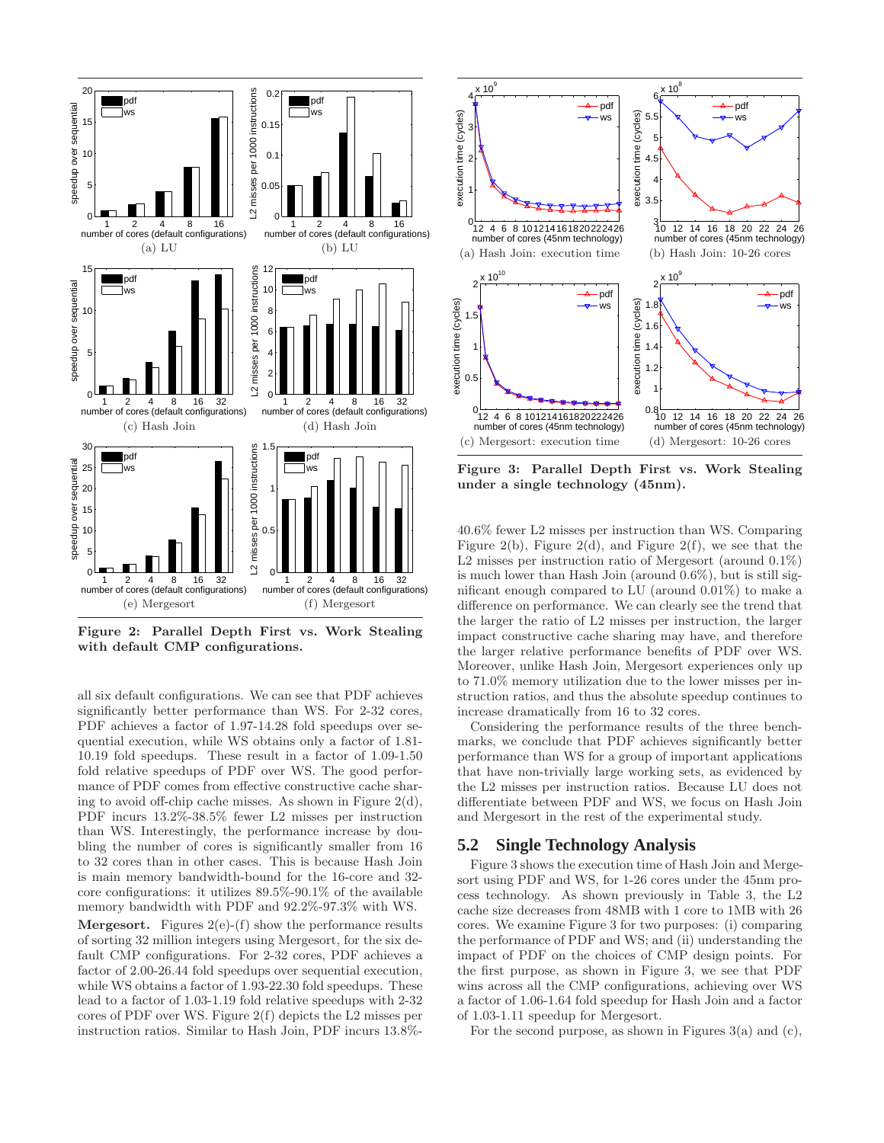

Figure 2: Parallel Depth First vs. Work Stealing with default CMP configurations.

all six default configurations. We can see that PDF achieves significantly better performance than WS. For 2-32 cores, PDF achieves a factor of 1.97-14.28 fold speedups over sequential execution, while WS obtains only a factor of 1.81- 10.19 fold speedups. These result in a factor of 1.09-1.50 fold relative speedups of PDF over WS. The good performance of PDF comes from effective constructive cache sharing to avoid off-chip cache misses. As shown in Figure 2(d), PDF incurs 13.2%-38.5% fewer L2 misses per instruction than WS. Interestingly, the performance increase by doubling the number of cores is significantly smaller from 16 to 32 cores than in other cases. This is because Hash Join is main memory bandwidth-bound for the 16-core and 32 core configurations: it utilizes 89.5%-90.1% of the available memory bandwidth with PDF and 92.2%-97.3% with WS. **Mergesort.** Figures  $2(e)$ - $(f)$  show the performance results of sorting 32 million integers using Mergesort, for the six default CMP configurations. For 2-32 cores, PDF achieves a factor of 2.00-26.44 fold speedups over sequential execution, while WS obtains a factor of 1.93-22.30 fold speedups. These lead to a factor of 1.03-1.19 fold relative speedups with 2-32

cores of PDF over WS. Figure 2(f) depicts the L2 misses per instruction ratios. Similar to Hash Join, PDF incurs 13.8%-



Figure 3: Parallel Depth First vs. Work Stealing under a single technology (45nm).

40.6% fewer L2 misses per instruction than WS. Comparing Figure 2(b), Figure 2(d), and Figure 2(f), we see that the L2 misses per instruction ratio of Mergesort (around 0.1%) is much lower than Hash Join (around 0.6%), but is still significant enough compared to LU (around 0.01%) to make a difference on performance. We can clearly see the trend that the larger the ratio of L2 misses per instruction, the larger impact constructive cache sharing may have, and therefore the larger relative performance benefits of PDF over WS. Moreover, unlike Hash Join, Mergesort experiences only up to 71.0% memory utilization due to the lower misses per instruction ratios, and thus the absolute speedup continues to increase dramatically from 16 to 32 cores.

Considering the performance results of the three benchmarks, we conclude that PDF achieves significantly better performance than WS for a group of important applications that have non-trivially large working sets, as evidenced by the L2 misses per instruction ratios. Because LU does not differentiate between PDF and WS, we focus on Hash Join and Mergesort in the rest of the experimental study.

#### **5.2 Single Technology Analysis**

Figure 3 shows the execution time of Hash Join and Mergesort using PDF and WS, for 1-26 cores under the 45nm process technology. As shown previously in Table 3, the L2 cache size decreases from 48MB with 1 core to 1MB with 26 cores. We examine Figure 3 for two purposes: (i) comparing the performance of PDF and WS; and (ii) understanding the impact of PDF on the choices of CMP design points. For the first purpose, as shown in Figure 3, we see that PDF wins across all the CMP configurations, achieving over WS a factor of 1.06-1.64 fold speedup for Hash Join and a factor of 1.03-1.11 speedup for Mergesort.

For the second purpose, as shown in Figures 3(a) and (c),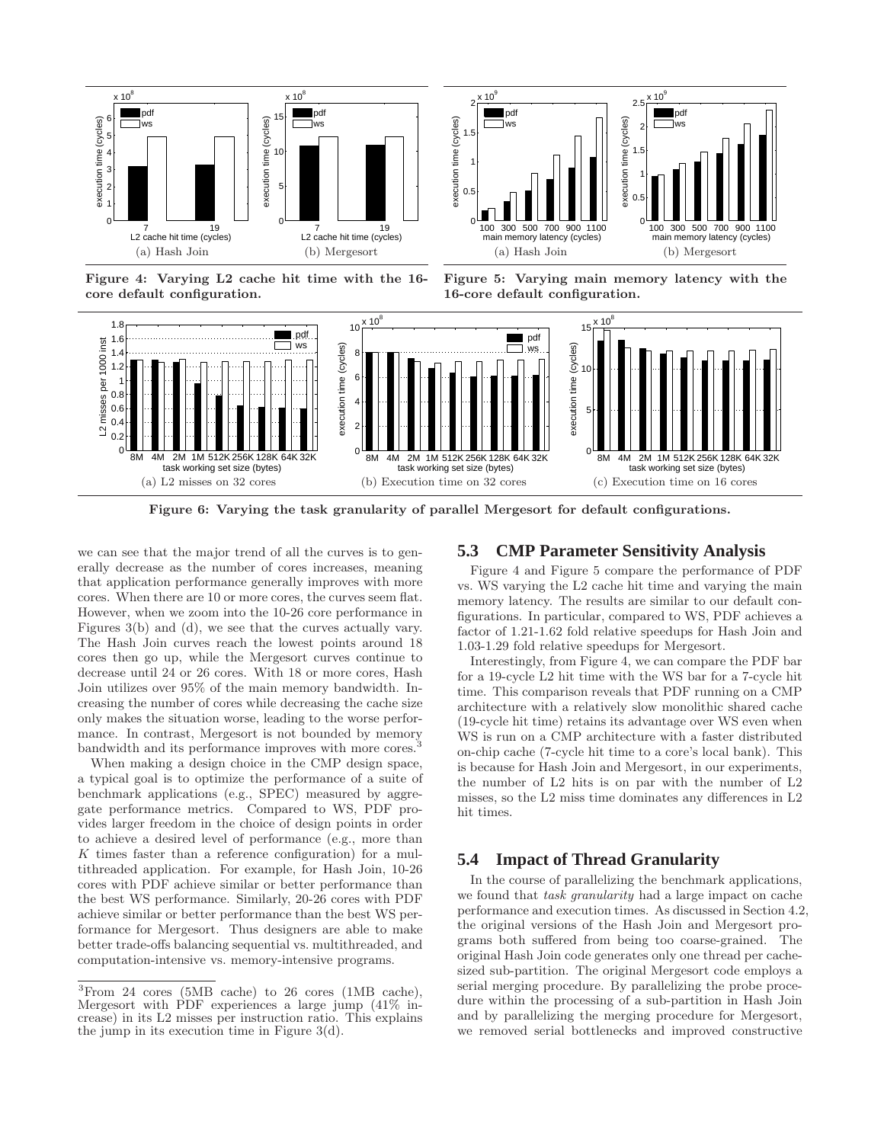



Figure 4: Varying L2 cache hit time with the 16 core default configuration.

Figure 5: Varying main memory latency with the 16-core default configuration.



Figure 6: Varying the task granularity of parallel Mergesort for default configurations.

we can see that the major trend of all the curves is to generally decrease as the number of cores increases, meaning that application performance generally improves with more cores. When there are 10 or more cores, the curves seem flat. However, when we zoom into the 10-26 core performance in Figures 3(b) and (d), we see that the curves actually vary. The Hash Join curves reach the lowest points around 18 cores then go up, while the Mergesort curves continue to decrease until 24 or 26 cores. With 18 or more cores, Hash Join utilizes over 95% of the main memory bandwidth. Increasing the number of cores while decreasing the cache size only makes the situation worse, leading to the worse performance. In contrast, Mergesort is not bounded by memory bandwidth and its performance improves with more cores.<sup>3</sup>

When making a design choice in the CMP design space, a typical goal is to optimize the performance of a suite of benchmark applications (e.g., SPEC) measured by aggregate performance metrics. Compared to WS, PDF provides larger freedom in the choice of design points in order to achieve a desired level of performance (e.g., more than  $K$  times faster than a reference configuration) for a multithreaded application. For example, for Hash Join, 10-26 cores with PDF achieve similar or better performance than the best WS performance. Similarly, 20-26 cores with PDF achieve similar or better performance than the best WS performance for Mergesort. Thus designers are able to make better trade-offs balancing sequential vs. multithreaded, and computation-intensive vs. memory-intensive programs.

#### **5.3 CMP Parameter Sensitivity Analysis**

Figure 4 and Figure 5 compare the performance of PDF vs. WS varying the L2 cache hit time and varying the main memory latency. The results are similar to our default configurations. In particular, compared to WS, PDF achieves a factor of 1.21-1.62 fold relative speedups for Hash Join and 1.03-1.29 fold relative speedups for Mergesort.

Interestingly, from Figure 4, we can compare the PDF bar for a 19-cycle L2 hit time with the WS bar for a 7-cycle hit time. This comparison reveals that PDF running on a CMP architecture with a relatively slow monolithic shared cache (19-cycle hit time) retains its advantage over WS even when WS is run on a CMP architecture with a faster distributed on-chip cache (7-cycle hit time to a core's local bank). This is because for Hash Join and Mergesort, in our experiments, the number of L2 hits is on par with the number of L2 misses, so the L2 miss time dominates any differences in L2 hit times.

#### **5.4 Impact of Thread Granularity**

In the course of parallelizing the benchmark applications, we found that task *granularity* had a large impact on cache performance and execution times. As discussed in Section 4.2, the original versions of the Hash Join and Mergesort programs both suffered from being too coarse-grained. The original Hash Join code generates only one thread per cachesized sub-partition. The original Mergesort code employs a serial merging procedure. By parallelizing the probe procedure within the processing of a sub-partition in Hash Join and by parallelizing the merging procedure for Mergesort, we removed serial bottlenecks and improved constructive

<sup>3</sup>From 24 cores (5MB cache) to 26 cores (1MB cache), Mergesort with PDF experiences a large jump (41% increase) in its L2 misses per instruction ratio. This explains the jump in its execution time in Figure 3(d).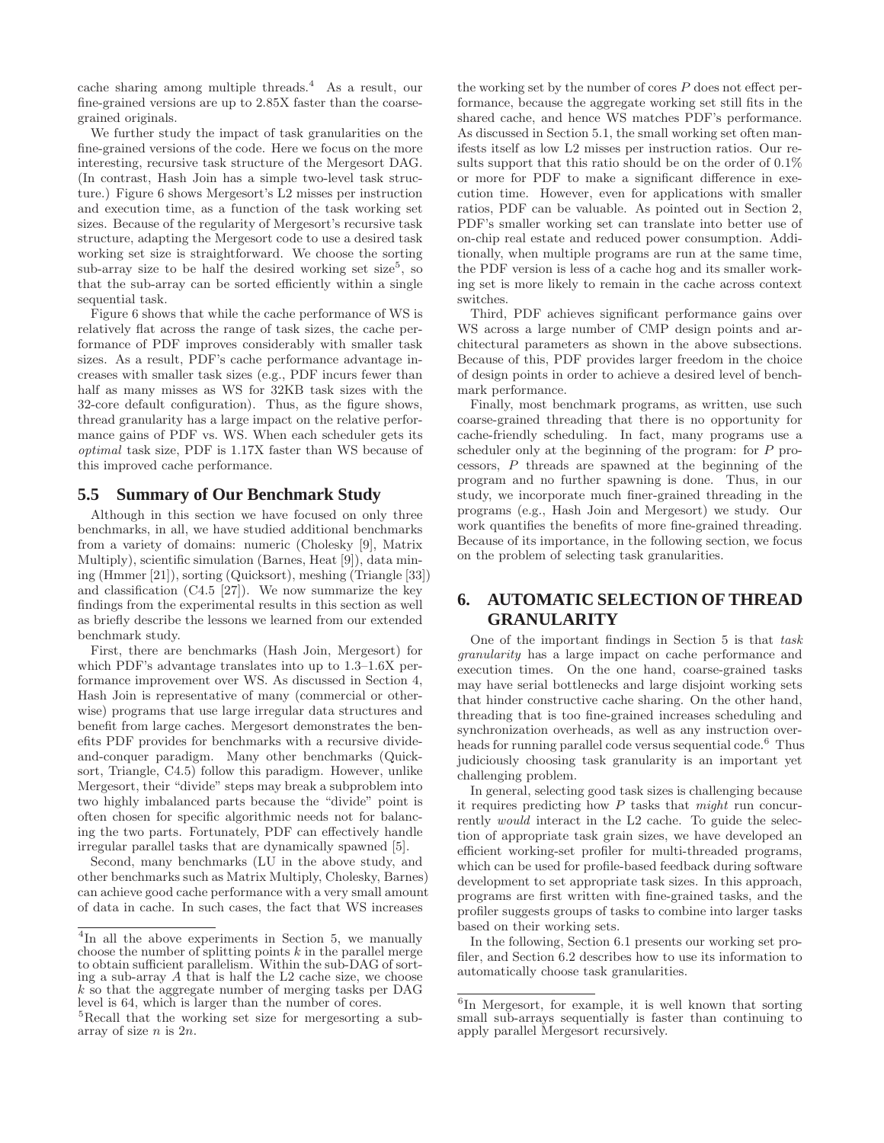cache sharing among multiple threads.<sup>4</sup> As a result, our fine-grained versions are up to 2.85X faster than the coarsegrained originals.

We further study the impact of task granularities on the fine-grained versions of the code. Here we focus on the more interesting, recursive task structure of the Mergesort DAG. (In contrast, Hash Join has a simple two-level task structure.) Figure 6 shows Mergesort's L2 misses per instruction and execution time, as a function of the task working set sizes. Because of the regularity of Mergesort's recursive task structure, adapting the Mergesort code to use a desired task working set size is straightforward. We choose the sorting sub-array size to be half the desired working set size<sup>5</sup>, so that the sub-array can be sorted efficiently within a single sequential task.

Figure 6 shows that while the cache performance of WS is relatively flat across the range of task sizes, the cache performance of PDF improves considerably with smaller task sizes. As a result, PDF's cache performance advantage increases with smaller task sizes (e.g., PDF incurs fewer than half as many misses as WS for 32KB task sizes with the 32-core default configuration). Thus, as the figure shows, thread granularity has a large impact on the relative performance gains of PDF vs. WS. When each scheduler gets its optimal task size, PDF is 1.17X faster than WS because of this improved cache performance.

#### **5.5 Summary of Our Benchmark Study**

Although in this section we have focused on only three benchmarks, in all, we have studied additional benchmarks from a variety of domains: numeric (Cholesky [9], Matrix Multiply), scientific simulation (Barnes, Heat [9]), data mining (Hmmer [21]), sorting (Quicksort), meshing (Triangle [33]) and classification (C4.5 [27]). We now summarize the key findings from the experimental results in this section as well as briefly describe the lessons we learned from our extended benchmark study.

First, there are benchmarks (Hash Join, Mergesort) for which PDF's advantage translates into up to 1.3–1.6X performance improvement over WS. As discussed in Section 4, Hash Join is representative of many (commercial or otherwise) programs that use large irregular data structures and benefit from large caches. Mergesort demonstrates the benefits PDF provides for benchmarks with a recursive divideand-conquer paradigm. Many other benchmarks (Quicksort, Triangle, C4.5) follow this paradigm. However, unlike Mergesort, their "divide" steps may break a subproblem into two highly imbalanced parts because the "divide" point is often chosen for specific algorithmic needs not for balancing the two parts. Fortunately, PDF can effectively handle irregular parallel tasks that are dynamically spawned [5].

Second, many benchmarks (LU in the above study, and other benchmarks such as Matrix Multiply, Cholesky, Barnes) can achieve good cache performance with a very small amount of data in cache. In such cases, the fact that WS increases

the working set by the number of cores  $P$  does not effect performance, because the aggregate working set still fits in the shared cache, and hence WS matches PDF's performance. As discussed in Section 5.1, the small working set often manifests itself as low L2 misses per instruction ratios. Our results support that this ratio should be on the order of 0.1% or more for PDF to make a significant difference in execution time. However, even for applications with smaller ratios, PDF can be valuable. As pointed out in Section 2, PDF's smaller working set can translate into better use of on-chip real estate and reduced power consumption. Additionally, when multiple programs are run at the same time, the PDF version is less of a cache hog and its smaller working set is more likely to remain in the cache across context switches.

Third, PDF achieves significant performance gains over WS across a large number of CMP design points and architectural parameters as shown in the above subsections. Because of this, PDF provides larger freedom in the choice of design points in order to achieve a desired level of benchmark performance.

Finally, most benchmark programs, as written, use such coarse-grained threading that there is no opportunity for cache-friendly scheduling. In fact, many programs use a scheduler only at the beginning of the program: for P processors, P threads are spawned at the beginning of the program and no further spawning is done. Thus, in our study, we incorporate much finer-grained threading in the programs (e.g., Hash Join and Mergesort) we study. Our work quantifies the benefits of more fine-grained threading. Because of its importance, in the following section, we focus on the problem of selecting task granularities.

# **6. AUTOMATIC SELECTION OF THREAD GRANULARITY**

One of the important findings in Section 5 is that task granularity has a large impact on cache performance and execution times. On the one hand, coarse-grained tasks may have serial bottlenecks and large disjoint working sets that hinder constructive cache sharing. On the other hand, threading that is too fine-grained increases scheduling and synchronization overheads, as well as any instruction overheads for running parallel code versus sequential code.<sup>6</sup> Thus judiciously choosing task granularity is an important yet challenging problem.

In general, selecting good task sizes is challenging because it requires predicting how  $P$  tasks that *might* run concurrently would interact in the L2 cache. To guide the selection of appropriate task grain sizes, we have developed an efficient working-set profiler for multi-threaded programs, which can be used for profile-based feedback during software development to set appropriate task sizes. In this approach, programs are first written with fine-grained tasks, and the profiler suggests groups of tasks to combine into larger tasks based on their working sets.

In the following, Section 6.1 presents our working set profiler, and Section 6.2 describes how to use its information to automatically choose task granularities.

<sup>4</sup> In all the above experiments in Section 5, we manually choose the number of splitting points  $k$  in the parallel merge to obtain sufficient parallelism. Within the sub-DAG of sorting a sub-array  $A$  that is half the L2 cache size, we choose k so that the aggregate number of merging tasks per DAG level is 64, which is larger than the number of cores.

<sup>&</sup>lt;sup>5</sup>Recall that the working set size for mergesorting a subarray of size  $n$  is  $2n$ .

<sup>6</sup> In Mergesort, for example, it is well known that sorting small sub-arrays sequentially is faster than continuing to apply parallel Mergesort recursively.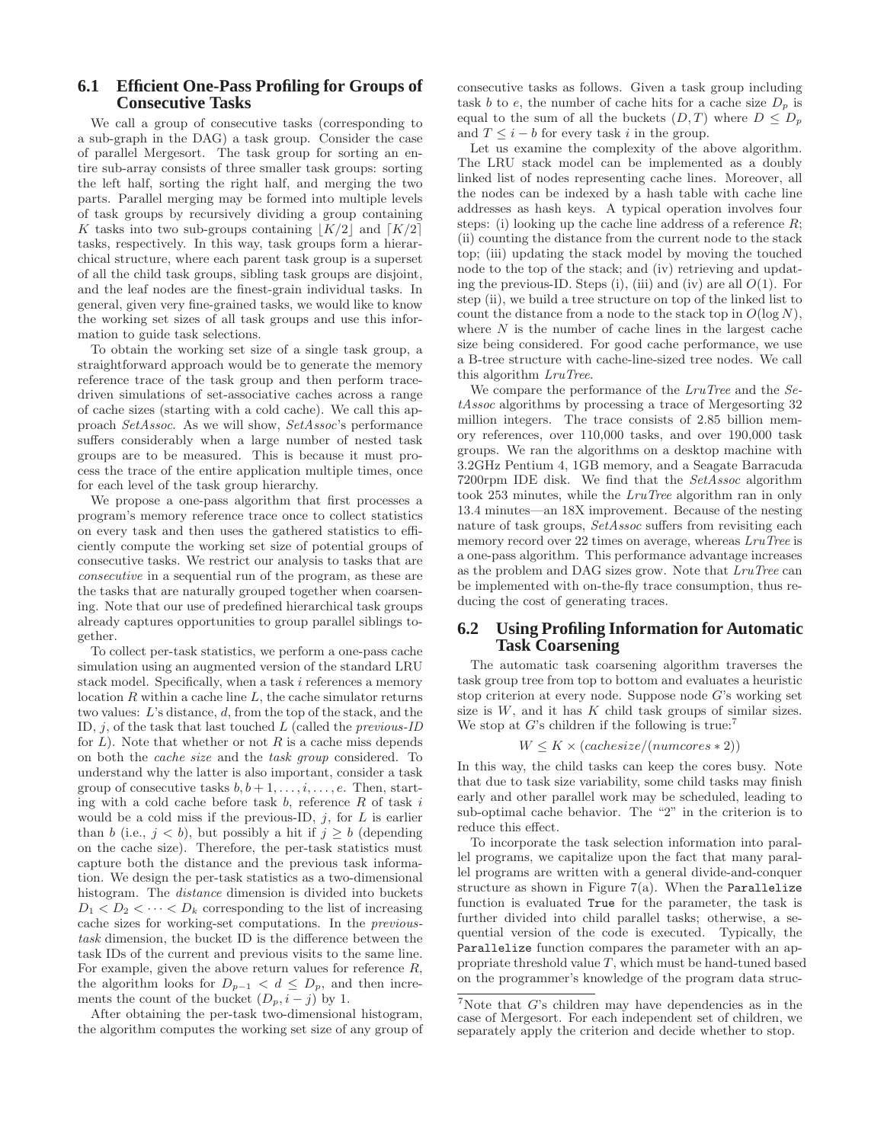## **6.1 Efficient One-Pass Profiling for Groups of Consecutive Tasks**

We call a group of consecutive tasks (corresponding to a sub-graph in the DAG) a task group. Consider the case of parallel Mergesort. The task group for sorting an entire sub-array consists of three smaller task groups: sorting the left half, sorting the right half, and merging the two parts. Parallel merging may be formed into multiple levels of task groups by recursively dividing a group containing K tasks into two sub-groups containing  $|K/2|$  and  $|K/2|$ tasks, respectively. In this way, task groups form a hierarchical structure, where each parent task group is a superset of all the child task groups, sibling task groups are disjoint, and the leaf nodes are the finest-grain individual tasks. In general, given very fine-grained tasks, we would like to know the working set sizes of all task groups and use this information to guide task selections.

To obtain the working set size of a single task group, a straightforward approach would be to generate the memory reference trace of the task group and then perform tracedriven simulations of set-associative caches across a range of cache sizes (starting with a cold cache). We call this approach SetAssoc. As we will show, SetAssoc's performance suffers considerably when a large number of nested task groups are to be measured. This is because it must process the trace of the entire application multiple times, once for each level of the task group hierarchy.

We propose a one-pass algorithm that first processes a program's memory reference trace once to collect statistics on every task and then uses the gathered statistics to efficiently compute the working set size of potential groups of consecutive tasks. We restrict our analysis to tasks that are consecutive in a sequential run of the program, as these are the tasks that are naturally grouped together when coarsening. Note that our use of predefined hierarchical task groups already captures opportunities to group parallel siblings together.

To collect per-task statistics, we perform a one-pass cache simulation using an augmented version of the standard LRU stack model. Specifically, when a task  $i$  references a memory location  $R$  within a cache line  $L$ , the cache simulator returns two values: L's distance, d, from the top of the stack, and the ID,  $j$ , of the task that last touched  $L$  (called the *previous-ID* for  $L$ ). Note that whether or not  $R$  is a cache miss depends on both the cache size and the task group considered. To understand why the latter is also important, consider a task group of consecutive tasks  $b, b+1, \ldots, i, \ldots, e$ . Then, starting with a cold cache before task  $b$ , reference  $R$  of task  $i$ would be a cold miss if the previous-ID,  $j$ , for  $L$  is earlier than b (i.e.,  $j < b$ ), but possibly a hit if  $j \geq b$  (depending on the cache size). Therefore, the per-task statistics must capture both the distance and the previous task information. We design the per-task statistics as a two-dimensional histogram. The distance dimension is divided into buckets  $D_1 < D_2 < \cdots < D_k$  corresponding to the list of increasing cache sizes for working-set computations. In the previoustask dimension, the bucket ID is the difference between the task IDs of the current and previous visits to the same line. For example, given the above return values for reference  $R$ , the algorithm looks for  $D_{p-1} < d \le D_p$ , and then increments the count of the bucket  $(D_p, i - j)$  by 1.

After obtaining the per-task two-dimensional histogram, the algorithm computes the working set size of any group of consecutive tasks as follows. Given a task group including task b to e, the number of cache hits for a cache size  $D_n$  is equal to the sum of all the buckets  $(D, T)$  where  $D \leq D_p$ and  $T \leq i - b$  for every task i in the group.

Let us examine the complexity of the above algorithm. The LRU stack model can be implemented as a doubly linked list of nodes representing cache lines. Moreover, all the nodes can be indexed by a hash table with cache line addresses as hash keys. A typical operation involves four steps: (i) looking up the cache line address of a reference  $R$ ; (ii) counting the distance from the current node to the stack top; (iii) updating the stack model by moving the touched node to the top of the stack; and (iv) retrieving and updating the previous-ID. Steps (i), (iii) and (iv) are all  $O(1)$ . For step (ii), we build a tree structure on top of the linked list to count the distance from a node to the stack top in  $O(\log N)$ , where  $N$  is the number of cache lines in the largest cache size being considered. For good cache performance, we use a B-tree structure with cache-line-sized tree nodes. We call this algorithm LruTree.

We compare the performance of the LruTree and the SetAssoc algorithms by processing a trace of Mergesorting 32 million integers. The trace consists of 2.85 billion memory references, over 110,000 tasks, and over 190,000 task groups. We ran the algorithms on a desktop machine with 3.2GHz Pentium 4, 1GB memory, and a Seagate Barracuda 7200rpm IDE disk. We find that the SetAssoc algorithm took 253 minutes, while the LruTree algorithm ran in only 13.4 minutes—an 18X improvement. Because of the nesting nature of task groups, SetAssoc suffers from revisiting each memory record over 22 times on average, whereas  $LruTree$  is a one-pass algorithm. This performance advantage increases as the problem and DAG sizes grow. Note that LruTree can be implemented with on-the-fly trace consumption, thus reducing the cost of generating traces.

### **6.2 Using Profiling Information for Automatic Task Coarsening**

The automatic task coarsening algorithm traverses the task group tree from top to bottom and evaluates a heuristic stop criterion at every node. Suppose node G's working set size is  $W$ , and it has  $K$  child task groups of similar sizes. We stop at  $G$ 's children if the following is true:<sup>7</sup>

$$
W \le K \times (cachesize/(numcores * 2))
$$

In this way, the child tasks can keep the cores busy. Note that due to task size variability, some child tasks may finish early and other parallel work may be scheduled, leading to sub-optimal cache behavior. The "2" in the criterion is to reduce this effect.

To incorporate the task selection information into parallel programs, we capitalize upon the fact that many parallel programs are written with a general divide-and-conquer structure as shown in Figure  $7(a)$ . When the Parallelize function is evaluated True for the parameter, the task is further divided into child parallel tasks; otherwise, a sequential version of the code is executed. Typically, the Parallelize function compares the parameter with an appropriate threshold value  $T$ , which must be hand-tuned based on the programmer's knowledge of the program data struc-

 $7$ Note that  $G$ 's children may have dependencies as in the case of Mergesort. For each independent set of children, we separately apply the criterion and decide whether to stop.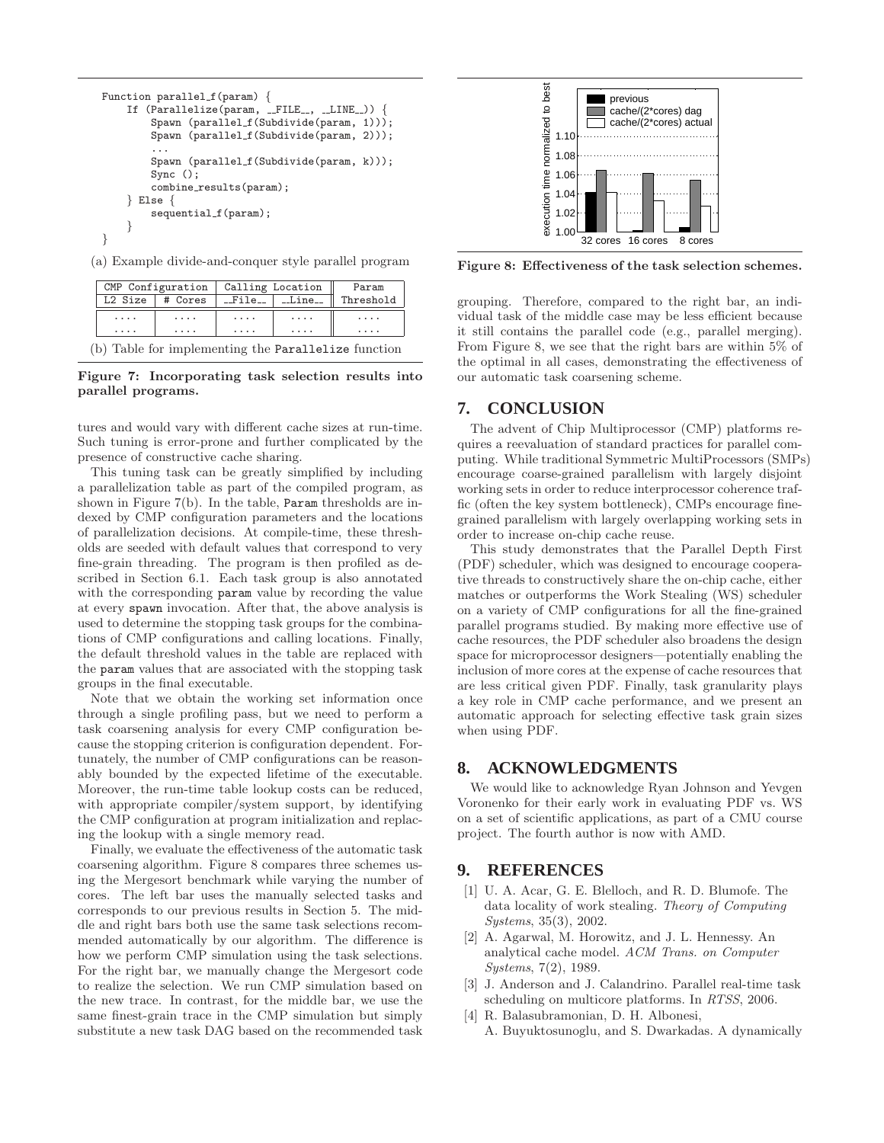```
Function parallel_f(param) {
    If (Parallelize(param, _FILE__, __LINE__))
        Spawn (parallel_f(Subdivide(param, 1)));
        Spawn (parallel_f(Subdivide(param, 2)));
        ...
        Spawn (parallel_f(Subdivide(param, k)));
        Sync ();
        combine_results(param);
    } Else {
        sequential_f(param);
    }
}
```
(a) Example divide-and-conquer style parallel program

| L2 Size<br># Cores<br>$\_File\_$<br>_Line__<br>$\cdots$<br>$\cdots$<br>.<br>.<br>$\cdots$ | CMP Configuration | Calling Location | Param     |
|-------------------------------------------------------------------------------------------|-------------------|------------------|-----------|
|                                                                                           |                   |                  | Threshold |
|                                                                                           |                   |                  |           |
| .<br>.<br>.<br>$\cdots$<br>$\cdots$                                                       |                   |                  |           |

|  |  |  | (b) Table for implementing the Parallelize function |  |  |  |
|--|--|--|-----------------------------------------------------|--|--|--|
|--|--|--|-----------------------------------------------------|--|--|--|

Figure 7: Incorporating task selection results into parallel programs.

tures and would vary with different cache sizes at run-time. Such tuning is error-prone and further complicated by the presence of constructive cache sharing.

This tuning task can be greatly simplified by including a parallelization table as part of the compiled program, as shown in Figure 7(b). In the table, Param thresholds are indexed by CMP configuration parameters and the locations of parallelization decisions. At compile-time, these thresholds are seeded with default values that correspond to very fine-grain threading. The program is then profiled as described in Section 6.1. Each task group is also annotated with the corresponding param value by recording the value at every spawn invocation. After that, the above analysis is used to determine the stopping task groups for the combinations of CMP configurations and calling locations. Finally, the default threshold values in the table are replaced with the param values that are associated with the stopping task groups in the final executable.

Note that we obtain the working set information once through a single profiling pass, but we need to perform a task coarsening analysis for every CMP configuration because the stopping criterion is configuration dependent. Fortunately, the number of CMP configurations can be reasonably bounded by the expected lifetime of the executable. Moreover, the run-time table lookup costs can be reduced, with appropriate compiler/system support, by identifying the CMP configuration at program initialization and replacing the lookup with a single memory read.

Finally, we evaluate the effectiveness of the automatic task coarsening algorithm. Figure 8 compares three schemes using the Mergesort benchmark while varying the number of cores. The left bar uses the manually selected tasks and corresponds to our previous results in Section 5. The middle and right bars both use the same task selections recommended automatically by our algorithm. The difference is how we perform CMP simulation using the task selections. For the right bar, we manually change the Mergesort code to realize the selection. We run CMP simulation based on the new trace. In contrast, for the middle bar, we use the same finest-grain trace in the CMP simulation but simply substitute a new task DAG based on the recommended task



Figure 8: Effectiveness of the task selection schemes.

grouping. Therefore, compared to the right bar, an individual task of the middle case may be less efficient because it still contains the parallel code (e.g., parallel merging). From Figure 8, we see that the right bars are within 5% of the optimal in all cases, demonstrating the effectiveness of our automatic task coarsening scheme.

## **7. CONCLUSION**

The advent of Chip Multiprocessor (CMP) platforms requires a reevaluation of standard practices for parallel computing. While traditional Symmetric MultiProcessors (SMPs) encourage coarse-grained parallelism with largely disjoint working sets in order to reduce interprocessor coherence traffic (often the key system bottleneck), CMPs encourage finegrained parallelism with largely overlapping working sets in order to increase on-chip cache reuse.

This study demonstrates that the Parallel Depth First (PDF) scheduler, which was designed to encourage cooperative threads to constructively share the on-chip cache, either matches or outperforms the Work Stealing (WS) scheduler on a variety of CMP configurations for all the fine-grained parallel programs studied. By making more effective use of cache resources, the PDF scheduler also broadens the design space for microprocessor designers—potentially enabling the inclusion of more cores at the expense of cache resources that are less critical given PDF. Finally, task granularity plays a key role in CMP cache performance, and we present an automatic approach for selecting effective task grain sizes when using PDF.

## **8. ACKNOWLEDGMENTS**

We would like to acknowledge Ryan Johnson and Yevgen Voronenko for their early work in evaluating PDF vs. WS on a set of scientific applications, as part of a CMU course project. The fourth author is now with AMD.

## **9. REFERENCES**

- [1] U. A. Acar, G. E. Blelloch, and R. D. Blumofe. The data locality of work stealing. Theory of Computing Systems, 35(3), 2002.
- [2] A. Agarwal, M. Horowitz, and J. L. Hennessy. An analytical cache model. ACM Trans. on Computer Systems, 7(2), 1989.
- [3] J. Anderson and J. Calandrino. Parallel real-time task scheduling on multicore platforms. In RTSS, 2006.
- [4] R. Balasubramonian, D. H. Albonesi,
	- A. Buyuktosunoglu, and S. Dwarkadas. A dynamically